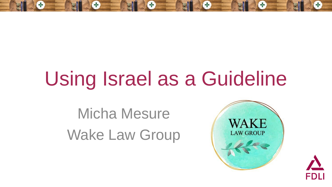# Using Israel as a Guideline

Micha Mesure Wake Law Group



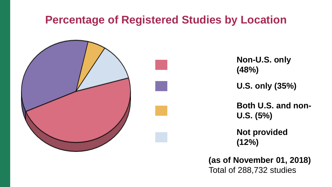#### **Percentage of Registered Studies by Location**



Non-U.S. only **(48%)** ██ **U.S. only (35%)** Both U.S. and non-**U.S. (5%) Not provided (12%)**

**(as of November 01, 2018)** Total of 288,732 studies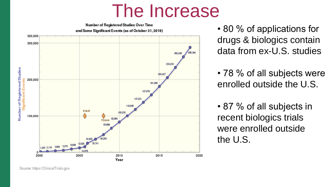### The Increase



• 80 % of applications for drugs & biologics contain data from ex-U.S. studies

• 78 % of all subjects were enrolled outside the U.S.

• 87 % of all subjects in recent biologics trials were enrolled outside the U.S.

Source: https://ClinicalTrials.gov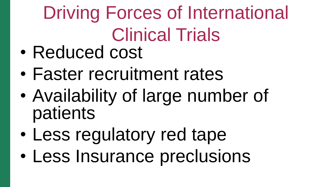Driving Forces of International Clinical Trials

- Reduced cost
- Faster recruitment rates
- Availability of large number of patients
- Less regulatory red tape
- Less Insurance preclusions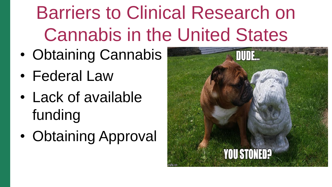# Barriers to Clinical Research on Cannabis in the United States

- Obtaining Cannabis
- Federal Law
- Lack of available funding
- Obtaining Approval

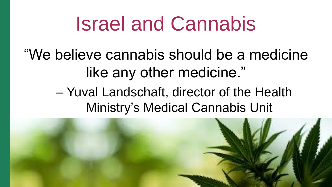## Israel and Cannabis

"We believe cannabis should be a medicine like any other medicine."

> – Yuval Landschaft, director of the Health Ministry's Medical Cannabis Unit

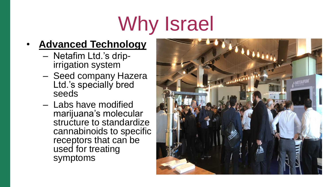# Why Israel

#### • **Advanced Technology**

- Netafim Ltd.'s dripirrigation system
- Seed company Hazera Ltd.'s specially bred seeds
- Labs have modified marijuana's molecular structure to standardize cannabinoids to specific receptors that can be used for treating symptoms

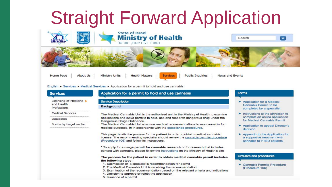## **Straight Forward Application**



Home Page

**About Us Ministry Units**  **Health Matters** 

**Services Public Inquiries**  News and Events

English ► Services ► Medical Services ► Application for a permit to hold and use cannabis

| <b>Services</b>                                                | Application for a permit to hold and use cannabis                                                                                                                                                                                                                                                                                                                                                                                                                                                                                                                                                                                                                                                                                                                         | <b>Forms</b>                                                                                                                                                                                                                                                           |  |
|----------------------------------------------------------------|---------------------------------------------------------------------------------------------------------------------------------------------------------------------------------------------------------------------------------------------------------------------------------------------------------------------------------------------------------------------------------------------------------------------------------------------------------------------------------------------------------------------------------------------------------------------------------------------------------------------------------------------------------------------------------------------------------------------------------------------------------------------------|------------------------------------------------------------------------------------------------------------------------------------------------------------------------------------------------------------------------------------------------------------------------|--|
| Licensing of Medicine<br>and Health<br>Professions             | Service Description<br><b>Background</b>                                                                                                                                                                                                                                                                                                                                                                                                                                                                                                                                                                                                                                                                                                                                  | Application for a Medical<br>Cannabis Permit, to be<br>completed by a specialist                                                                                                                                                                                       |  |
| <b>Medical Services</b><br>Databases<br>Forms by target sector | The Medical Cannabis Unit is the authorized unit in the Ministry of Health to examine<br>applications and issue permits to hold, use and research dangerous drug under the<br>Dangerous Drugs Ordinance.<br>The Medical Cannabis Unit examine medical recommendations to use cannabis for<br>medical purposes, in in accordance with the established procedures.<br>This page details the process for the patient in order to obtain medical cannabis<br>license. The recommending specialist should review the cannabis permits procedure<br>(Procedure 106) and follow its instructions.<br>* To apply for a usage permit for cannabis research or for research that includes<br>contact with cannabis, please follow the instructions on the Ministry of Health's site | $\blacktriangleright$ Instructions to the physician to<br>complete an online application<br>for Medical Cannabis Permit<br>Application to appeal Director's<br>decision<br>Appendix to the Application for<br>a supportive treatment with<br>cannabis to PTSD patients |  |
|                                                                | The process for the patient in order to obtain medical cannabis permit includes<br>the following steps:<br>1. Submission of a specialist's recommendation for permit<br>2. The Medical Cannabis Unit is receiving the recommendation<br>3. Examination of the recommendation based on the relevant criteria and indications<br>4. Decision to approve or reject the application<br>5. Issuance of a permit                                                                                                                                                                                                                                                                                                                                                                | Circulars and procedures<br><b>Cannabis Permits Procedure</b><br>(Procedure 106)                                                                                                                                                                                       |  |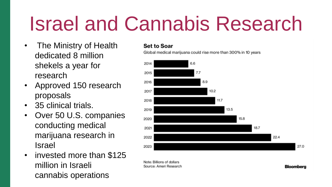# Israel and Cannabis Research

- The Ministry of Health dedicated 8 million shekels a year for research
- Approved 150 research proposals
- 35 clinical trials.
- Over 50 U.S. companies conducting medical marijuana research in Israel
- invested more than \$125 million in Israeli cannabis operations

#### **Set to Soar**

Global medical marijuana could rise more than 300% in 10 years



**Bloomberg** 

Note: Billions of dollars Source: Ameri Research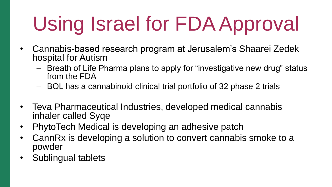# Using Israel for FDA Approval

- Cannabis-based research program at Jerusalem's Shaarei Zedek hospital for Autism
	- Breath of Life Pharma plans to apply for "investigative new drug" status from the FDA
	- BOL has a cannabinoid clinical trial portfolio of 32 phase 2 trials
- Teva Pharmaceutical Industries, developed medical cannabis inhaler called Syqe
- PhytoTech Medical is developing an adhesive patch
- CannRx is developing a solution to convert cannabis smoke to a powder
- Sublingual tablets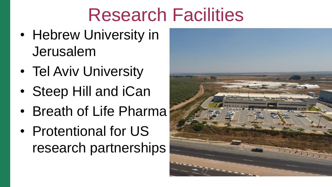## Research Facilities

- Hebrew University in Jerusalem
- Tel Aviv University
- Steep Hill and iCan
- Breath of Life Pharma
- Protentional for US research partnerships